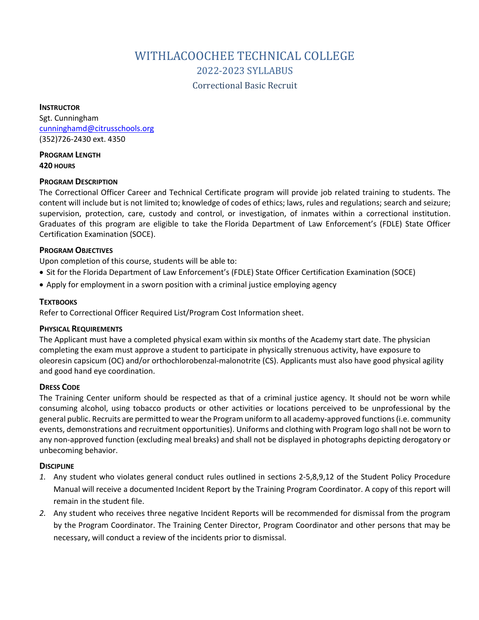# WITHLACOOCHEE TECHNICAL COLLEGE 2022-2023 SYLLABUS

Correctional Basic Recruit

**INSTRUCTOR** Sgt. Cunningham [cunninghamd@citrusschools.org](mailto:cunninghamd@citrusschools.org) (352)726-2430 ext. 4350

**PROGRAM LENGTH 420 HOURS**

#### **PROGRAM DESCRIPTION**

The Correctional Officer Career and Technical Certificate program will provide job related training to students. The content will include but is not limited to; knowledge of codes of ethics; laws, rules and regulations; search and seizure; supervision, protection, care, custody and control, or investigation, of inmates within a correctional institution. Graduates of this program are eligible to take the Florida Department of Law Enforcement's (FDLE) State Officer Certification Examination (SOCE).

#### **PROGRAM OBJECTIVES**

Upon completion of this course, students will be able to:

- Sit for the Florida Department of Law Enforcement's (FDLE) State Officer Certification Examination (SOCE)
- Apply for employment in a sworn position with a criminal justice employing agency

## **TEXTBOOKS**

Refer to Correctional Officer Required List/Program Cost Information sheet.

#### **PHYSICAL REQUIREMENTS**

The Applicant must have a completed physical exam within six months of the Academy start date. The physician completing the exam must approve a student to participate in physically strenuous activity, have exposure to oleoresin capsicum (OC) and/or orthochlorobenzal-malonotrite (CS). Applicants must also have good physical agility and good hand eye coordination.

# **DRESS CODE**

The Training Center uniform should be respected as that of a criminal justice agency. It should not be worn while consuming alcohol, using tobacco products or other activities or locations perceived to be unprofessional by the general public. Recruits are permitted to wear the Program uniform to all academy-approved functions (i.e. community events, demonstrations and recruitment opportunities). Uniforms and clothing with Program logo shall not be worn to any non-approved function (excluding meal breaks) and shall not be displayed in photographs depicting derogatory or unbecoming behavior.

#### **DISCIPLINE**

- *1.* Any student who violates general conduct rules outlined in sections 2-5,8,9,12 of the Student Policy Procedure Manual will receive a documented Incident Report by the Training Program Coordinator. A copy of this report will remain in the student file.
- *2.* Any student who receives three negative Incident Reports will be recommended for dismissal from the program by the Program Coordinator. The Training Center Director, Program Coordinator and other persons that may be necessary, will conduct a review of the incidents prior to dismissal.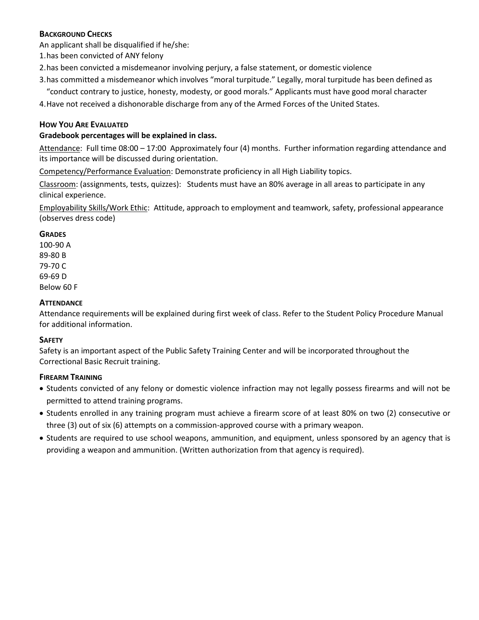# **BACKGROUND CHECKS**

An applicant shall be disqualified if he/she:

- 1.has been convicted of ANY felony
- 2.has been convicted a misdemeanor involving perjury, a false statement, or domestic violence
- 3.has committed a misdemeanor which involves "moral turpitude." Legally, moral turpitude has been defined as "conduct contrary to justice, honesty, modesty, or good morals." Applicants must have good moral character

4.Have not received a dishonorable discharge from any of the Armed Forces of the United States.

# **HOW YOU ARE EVALUATED**

# **Gradebook percentages will be explained in class.**

Attendance: Full time 08:00 – 17:00 Approximately four (4) months. Further information regarding attendance and its importance will be discussed during orientation.

Competency/Performance Evaluation: Demonstrate proficiency in all High Liability topics.

Classroom: (assignments, tests, quizzes): Students must have an 80% average in all areas to participate in any clinical experience.

Employability Skills/Work Ethic: Attitude, approach to employment and teamwork, safety, professional appearance (observes dress code)

## **GRADES**

100-90 A 89-80 B 79-70 C 69-69 D Below 60 F

## **ATTENDANCE**

Attendance requirements will be explained during first week of class. Refer to the Student Policy Procedure Manual for additional information.

#### **SAFETY**

Safety is an important aspect of the Public Safety Training Center and will be incorporated throughout the Correctional Basic Recruit training.

# **FIREARM TRAINING**

- Students convicted of any felony or domestic violence infraction may not legally possess firearms and will not be permitted to attend training programs.
- Students enrolled in any training program must achieve a firearm score of at least 80% on two (2) consecutive or three (3) out of six (6) attempts on a commission-approved course with a primary weapon.
- Students are required to use school weapons, ammunition, and equipment, unless sponsored by an agency that is providing a weapon and ammunition. (Written authorization from that agency is required).